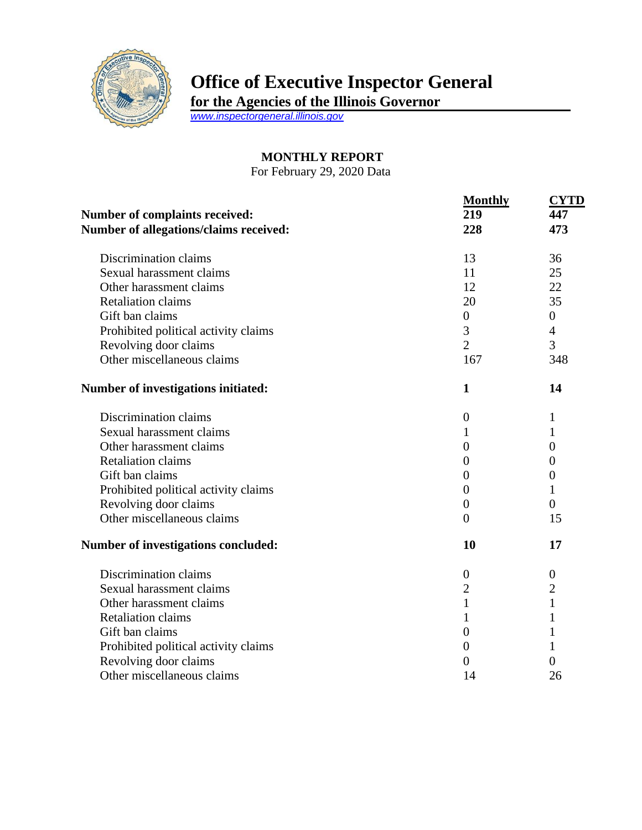

## **Office of Executive Inspector General**

**for the Agencies of the Illinois Governor**

*[www.inspectorgeneral.illinois.gov](http://www.inspectorgeneral.illinois.gov/)*

## **MONTHLY REPORT**

For February 29, 2020 Data

| Number of complaints received:<br>Number of allegations/claims received: | <b>Monthly</b><br>219<br>228 | <b>CYTD</b><br>447<br>473 |
|--------------------------------------------------------------------------|------------------------------|---------------------------|
|                                                                          |                              |                           |
| Discrimination claims                                                    | 13                           | 36                        |
| Sexual harassment claims                                                 | 11                           | 25                        |
| Other harassment claims                                                  | 12                           | 22                        |
| <b>Retaliation claims</b>                                                | 20                           | 35                        |
| Gift ban claims                                                          | $\boldsymbol{0}$             | $\boldsymbol{0}$          |
| Prohibited political activity claims                                     | 3                            | $\overline{4}$            |
| Revolving door claims                                                    | $\overline{2}$               | 3                         |
| Other miscellaneous claims                                               | 167                          | 348                       |
| Number of investigations initiated:                                      | $\mathbf{1}$                 | 14                        |
| Discrimination claims                                                    | $\overline{0}$               | 1                         |
| Sexual harassment claims                                                 | 1                            | 1                         |
| Other harassment claims                                                  | $\boldsymbol{0}$             | $\theta$                  |
| <b>Retaliation claims</b>                                                | $\overline{0}$               | $\overline{0}$            |
| Gift ban claims                                                          | $\theta$                     | $\theta$                  |
| Prohibited political activity claims                                     | $\overline{0}$               | 1                         |
| Revolving door claims                                                    | $\theta$                     | $\theta$                  |
| Other miscellaneous claims                                               | $\overline{0}$               | 15                        |
| Number of investigations concluded:                                      | 10                           | 17                        |
| Discrimination claims                                                    | $\boldsymbol{0}$             | $\boldsymbol{0}$          |
| Sexual harassment claims                                                 | $\overline{2}$               | $\overline{c}$            |
| Other harassment claims                                                  | $\mathbf{1}$                 | $\mathbf{1}$              |
| <b>Retaliation claims</b>                                                | 1                            |                           |
| Gift ban claims                                                          | $\theta$                     | 1                         |
| Prohibited political activity claims                                     | $\theta$                     |                           |
| Revolving door claims                                                    | 0                            | $\overline{0}$            |
| Other miscellaneous claims                                               | 14                           | 26                        |